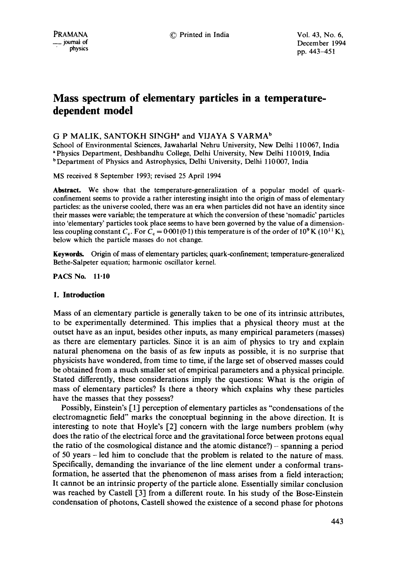# **Mass spectrum of elementary particles in a temperaturedependent model**

## G P MALIK, SANTOKH SINGH<sup>®</sup> and VIJAYA S VARMA<sup>b</sup>

School of Environmental Sciences, Jawaharlal Nehru University, New Delhi 110 067, India a Physics Department, Deshbandhu College, Delhi University, New Delhi 110 019, India <sup>b</sup> Department of Physics and Astrophysics, Delhi University, Delhi 110007, India

MS received 8 September 1993; revised 25 April 1994

**Abstract.** We show that the temperature-generalization of a popular model of quarkconfinement seems to provide a rather interesting insight into the origin of mass of elementary particles: as the universe cooled, there was an era when particles did not have an identity since their masses were variable; the temperature at which the conversion of these 'nomadic' particles into 'elementary' particles took place seems to have been governed by the value of a dimensionless coupling constant  $C_c$ . For  $C_c = 0.001(0.1)$  this temperature is of the order of 10<sup>9</sup> K (10<sup>11</sup> K), below which the particle masses do not change.

Keywords. Origin of mass of elementary particles; quark-confinement; temperature-generalized Bethe-Salpeter equation; harmonic oscillator kernel.

**PACS** No. 11"10

### **1. Introduction**

Mass of an elementary particle is generally taken to be one of its intrinsic attributes, to be experimentally determined. This implies that a physical theory must at the outset have as an input, besides other inputs, as many empirical parameters (masses) as there are elementary particles. Since it is an aim of physics to try and explain natural phenomena on the basis of as few inputs as possible, it is no surprise that physicists have wondered, from time to time, if the large set of observed masses could be obtained from a much smaller set of empirical parameters and a physical principle. Stated differently, these considerations imply the questions: What is the origin of mass of elementary particles? Is there a theory which explains why these particles have the masses that they possess?

Possibly, Einstein's [1] perception of elementary particles as "condensations of the electromagnetic field" marks the conceptual beginning in the above direction. It is interesting to note that Hoyle's [2] concern with the large numbers problem (why does the ratio of the electrical force and the gravitational force between protons equal the ratio of the cosmological distance and the atomic distance?) - spanning a period of 50 years - led him to conclude that the problem is related to the nature of mass. Specifically, demanding the invariance of the line element under a conformal transformation, he asserted that the phenomenon of mass arises from a field interaction; It cannot be an intrinsic property of the particle alone. Essentially similar conclusion was reached by Castell [3] from a different route. In his study of the Bose-Einstein condensation of photons, Castell showed the existence of a second phase for photons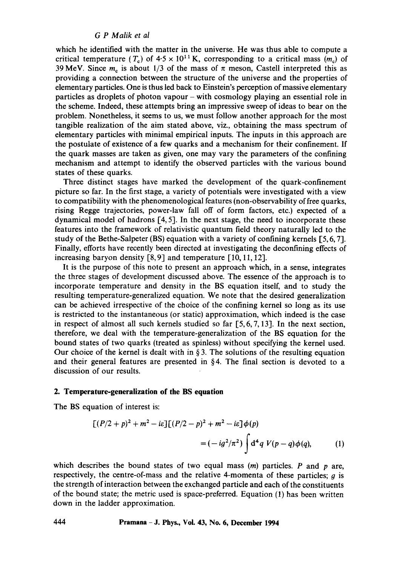which he identified with the matter in the universe. He was thus able to compute a critical temperature  $(T_c)$  of  $4.5 \times 10^{11}$  K, corresponding to a critical mass  $(m_c)$  of 39 MeV. Since  $m_c$  is about 1/3 of the mass of  $\pi$  meson, Castell interpreted this as providing a connection between the structure of the universe and the properties of elementary particles. One is thus led back to Einstein's perception of massive elementary particles as droplets of photon vapour - with cosmology playing an essential role in the scheme. Indeed, these attempts bring an impressive sweep of ideas to bear on the problem. Nonetheless, it seems to us, we must follow another approach for the most tangible realization of the aim stated above, viz., obtaining the mass spectrum of elementary particles with minimal empirical inputs. The inputs in this approach are the postulate of existence of a few quarks and a mechanism for their confinement. If the quark masses are taken as given, one may vary the parameters of the confining mechanism and attempt to identify the observed particles with the various bound states of these quarks.

Three distinct stages have marked the development of the quark-confinement picture so far. In the first stage, a variety of potentials were investigated with a view to compatibility with the phenomenological features (non-observability of free quarks, rising Regge trajectories, power-law fall off of form factors, etc.) expected of a dynamical model of hadrons  $[4, 5]$ . In the next stage, the need to incorporate these features into the framework of relativistic quantum field theory naturally led to the study of the Bethe-Salpeter  $(BS)$  equation with a variety of confining kernels  $[5, 6, 7]$ . Finally, efforts have recently been directed at investigating the deconfining effects of increasing baryon density  $[8, 9]$  and temperature  $[10, 11, 12]$ .

It is the purpose of this note to present an approach which, in a sense, integrates the three stages of development discussed above. The essence of the approach is to incorporate temperature and density in the BS equation itself, and to study the resulting temperature-generalized equation. We note that the desired generalization can be achieved irrespective of the choice of the confining kernel so long as its use is restricted to the instantaneous (or static) approximation, which indeed is the case in respect of almost all such kernels studied so far  $[5, 6, 7, 13]$ . In the next section, therefore, we deal with the temperature-generalization of the BS equation for the bound states of two quarks (treated as spinless) without specifying the kernel used. Our choice of the kernel is dealt with in  $\S$ 3. The solutions of the resulting equation and their general features are presented in §4. The final section is devoted to a discussion of our results.

## **2. Temperature-generalization of the BS equation**

The BS equation of interest is:

$$
[(P/2 + p)^2 + m^2 - i\varepsilon][(P/2 - p)^2 + m^2 - i\varepsilon] \phi(p)
$$
  
=  $(-i g^2 / \pi^2) \int d^4 q V(p - q) \phi(q)$ , (1)

which describes the bound states of two equal mass  $(m)$  particles. P and p are, respectively, the centre-of-mass and the relative 4-momenta of these particles;  $g$  is the strength of interaction between the exchanged particle and each of the constituents of the bound state; the metric used is space-preferred. Equation (1) has been written down in the ladder approximation.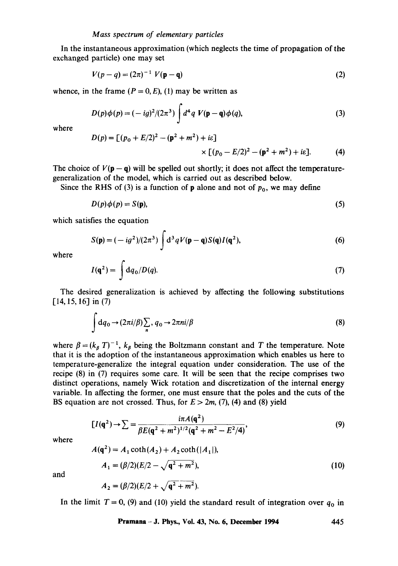In the instantaneous approximation (which neglects the time of propagation of the exchanged particle) one may set

$$
V(p - q) = (2\pi)^{-1} V(\mathbf{p} - \mathbf{q})
$$
 (2)

whence, in the frame  $(P = 0, E)$ , (1) may be written as

$$
D(p)\phi(p) = (-ig)^2/(2\pi^3) \int d^4q \ V(\mathbf{p} - \mathbf{q})\phi(q), \tag{3}
$$

where

$$
D(p) = [(p_0 + E/2)^2 - (\mathbf{p}^2 + m^2) + i\varepsilon] \times [(p_0 - E/2)^2 - (\mathbf{p}^2 + m^2) + i\varepsilon].
$$
 (4)

The choice of  $V(\mathbf{p}-\mathbf{q})$  will be spelled out shortly; it does not affect the temperaturegeneralization of the model, which is carried out as described below.

Since the RHS of (3) is a function of **p** alone and not of  $p_0$ , we may define

$$
D(p)\phi(p) = S(p),\tag{5}
$$

which satisfies the equation

$$
S(\mathbf{p}) = (-ig^2)/(2\pi^3) \int d^3q V(\mathbf{p} - \mathbf{q}) S(\mathbf{q}) I(\mathbf{q}^2),
$$
 (6)

where

$$
I(\mathbf{q}^2) = \int \mathrm{d}q_0/D(q). \tag{7}
$$

The desired generalization is achieved by affecting the following substitutions  $[14, 15, 16]$  in (7)

$$
\int dq_0 \to (2\pi i/\beta) \sum_n, q_0 \to 2\pi n i/\beta
$$
 (8)

where  $\beta = (k_{\beta} T)^{-1}$ ,  $k_{\beta}$  being the Boltzmann constant and T the temperature. Note that it is the adoption of the instantaneous approximation which enables us here to temperature-generalize the integral equation under consideration. The use of the recipe (8) in (7) requires some care. It will be seen that the recipe comprises two distinct operations, namely Wick rotation and discretization of the internal energy variable. In affecting the former, one must ensure that the poles and the cuts of the BS equation are not crossed. Thus, for  $E > 2m$ , (7), (4) and (8) yield

$$
[I(q^2) \to \sum = \frac{i\pi A(q^2)}{\beta E(q^2 + m^2)^{1/2}(q^2 + m^2 - E^2/4)},
$$
\n(9)

where

$$
A(\mathbf{q}^2) = A_1 \coth(A_2) + A_2 \coth(|A_1|),
$$
  
\n
$$
A_1 = (\beta/2)(E/2 - \sqrt{\mathbf{q}^2 + m^2}),
$$
\n(10)

and

$$
A_2 = (\beta/2)(E/2 + \sqrt{q^2 + m^2}).
$$

In the limit  $T = 0$ , (9) and (10) yield the standard result of integration over  $q_0$  in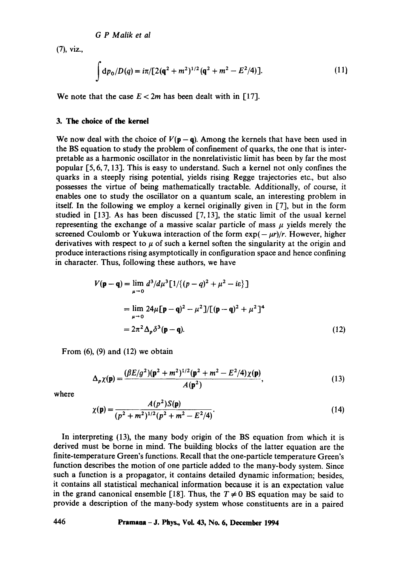(7), viz.,

$$
\int dp_0/D(q) = i\pi/[2(q^2 + m^2)^{1/2}(q^2 + m^2 - E^2/4)].
$$
 (11)

We note that the case  $E < 2m$  has been dealt with in [17].

### **3. The choice of the kernel**

We now deal with the choice of  $V(p-q)$ . Among the kernels that have been used in the BS equation to study the problem of confinement of quarks, the one that is interpretable as a harmonic oscillator in the nonrelativistic limit has been by far the most popular [5, 6, 7, 13]. This is easy to understand. Such a kernel not only confines the quarks in a steeply rising potential, yields rising Regge trajectories etc., but also possesses the virtue of being mathematically tractable. Additionally, of course, it enables one to study the oscillator on a quantum scale, an interesting problem in itself. In the following we employ a kernel originally given in [7], but in the form studied in [13]. As has been discussed [7, 13], the static limit of the usual kernel representing the exchange of a massive scalar particle of mass  $\mu$  yields merely the screened Coulomb or Yukuwa interaction of the form  $exp(-\mu r)/r$ . However, higher derivatives with respect to  $\mu$  of such a kernel soften the singularity at the origin and produce interactions rising asymptotically in configuration space and hence confining in character. Thus, following these authors, we have

$$
V(\mathbf{p} - \mathbf{q}) = \lim_{\mu \to 0} d^3 / d\mu^3 [1 / \{(p - q)^2 + \mu^2 - i\varepsilon\}]
$$
  
= 
$$
\lim_{\mu \to 0} 24\mu [\mathbf{p} - \mathbf{q})^2 - \mu^2] / [(\mathbf{p} - \mathbf{q})^2 + \mu^2]^4
$$
  
= 
$$
2\pi^2 \Delta_p \delta^3 (\mathbf{p} - \mathbf{q}).
$$
 (12)

From  $(6)$ ,  $(9)$  and  $(12)$  we obtain

$$
\Delta_p \chi(\mathbf{p}) = \frac{(\beta E/g^2)(\mathbf{p}^2 + m^2)^{1/2}(\mathbf{p}^2 + m^2 - E^2/4)\chi(\mathbf{p})}{A(\mathbf{p}^2)},
$$
(13)

where

$$
\chi(\mathbf{p}) = \frac{A(p^2)S(\mathbf{p})}{(p^2 + m^2)^{1/2}(p^2 + m^2 - E^2/4)}.
$$
\n(14)

In interpreting (13), the many body origin of the BS equation from which it is derived must be borne in mind. The building blocks of the latter equation are the finite-temperature Green's functions. Recall that the one-particle temperature Green's function describes the motion of one particle added to the many-body system. Since such a function is a propagator, it contains detailed dynamic information; besides, it contains all statistical mechanical information because it is an expectation value in the grand canonical ensemble [18]. Thus, the  $T \neq 0$  BS equation may be said to provide a description of the many-body system whose constituents are in a paired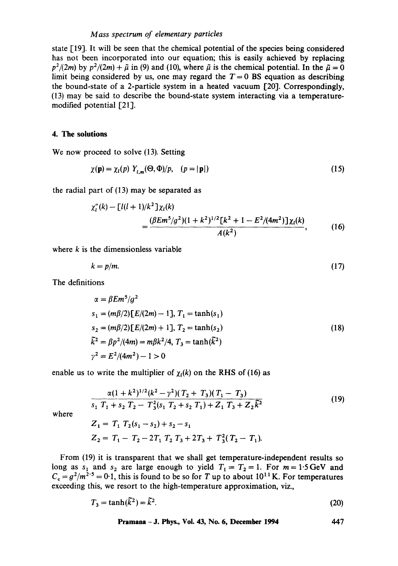### *Mass spectrum of elementary particles*

state [19]. It will be seen that the chemical potential of the species being considered has not been incorporated into our equation; this is easily achieved by replacing  $p^2/(2m)$  by  $p^2/(2m) + \tilde{\mu}$  in (9) and (10), where  $\tilde{\mu}$  is the chemical potential. In the  $\tilde{\mu} = 0$ limit being considered by us, one may regard the  $T = 0$  BS equation as describing the bound-state of a 2-particle system in a heated vacuum [20]. Correspondingly, (13) may be said to describe the bound-state system interacting via a temperaturemodified potential [21].

#### **4. The solutions**

We now proceed to solve (13). Setting

$$
\chi(\mathbf{p}) = \chi_l(p) \ Y_{l,m}(\Theta, \Phi)/p, \quad (p = |\mathbf{p}|)
$$
\n(15)

the radial part of (13) may be separated as

$$
\chi_l''(k) - \left[l(l+1)/k^2\right]\chi_l(k)
$$
  
= 
$$
\frac{(\beta Em^5/g^2)(1+k^2)^{1/2}\left[k^2+1-E^2/(4m^2)\right]\chi_l(k)}{A(k^2)},
$$
 (16)

where  $k$  is the dimensionless variable

$$
k = p/m.\tag{17}
$$

The definitions

$$
\alpha = \beta E m^5 / g^2
$$
  
\n
$$
s_1 = (m\beta/2) [E/(2m) - 1], T_1 = \tanh(s_1)
$$
  
\n
$$
s_2 = (m\beta/2) [E/(2m) + 1], T_2 = \tanh(s_2)
$$
  
\n
$$
\tilde{k}^2 = \beta p^2 / (4m) = m\beta k^2 / 4, T_3 = \tanh(\tilde{k}^2)
$$
  
\n
$$
\gamma^2 = E^2 / (4m^2) - 1 > 0
$$
\n(18)

enable us to write the multiplier of  $\chi_l(k)$  on the RHS of (16) as

$$
\frac{\alpha(1+k^2)^{1/2}(k^2-\gamma^2)(T_2+T_3)(T_1-T_3)}{s_1 T_1 + s_2 T_2 - T_3^2(s_1 T_2 + s_2 T_1) + Z_1 T_3 + Z_2 \tilde{k}^2}
$$
\n(19)

where

$$
Z_1 = T_1 T_2(s_1 - s_2) + s_2 - s_1
$$
  
\n
$$
Z_2 = T_1 - T_2 - 2T_1 T_2 T_3 + 2T_3 + T_3^2 (T_2 - T_1).
$$

From (19) it is transparent that we shall get temperature-independent results so long as s<sub>1</sub> and s<sub>2</sub> are large enough to yield  $T_1 = T_2 = 1$ . For  $m = 1.5$  GeV and  $C_c = g^2/m^{2.5} = 0.1$ , this is found to be so for T up to about  $10^{11}$  K. For temperatures exceeding this, we resort to the high-temperature approximation, viz.,

$$
T_3 = \tanh(\tilde{k}^2) = \tilde{k}^2. \tag{20}
$$

**Pramana - J. Phys., Vol. 43, No. 6, December 1994 447**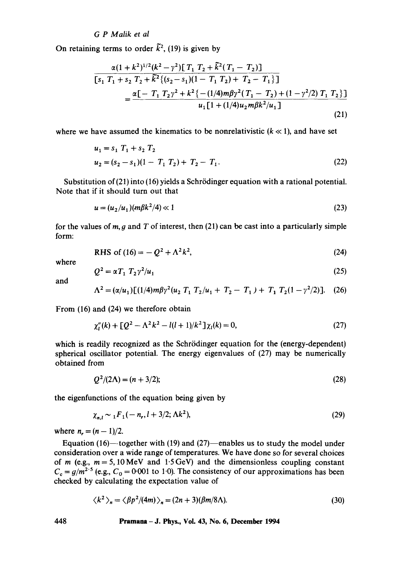On retaining terms to order  $\tilde{k}^2$ , (19) is given by

$$
\frac{\alpha(1+k^2)^{1/2}(k^2-\gamma^2)\left[T_1 T_2+\bar{k}^2(T_1-T_2)\right]}{\left[s_1 T_1+s_2 T_2+\bar{k}^2\{(s_2-s_1)(1-T_1 T_2)+T_2-T_1\}\right]}
$$
\n
$$
=\frac{\alpha\left[-T_1 T_2\gamma^2+k^2\left\{-(1/4)m\beta\gamma^2(T_1-T_2)+(1-\gamma^2/2) T_1 T_2\right\}\right]}{u_1 \left[1+(1/4)u_2 m\beta k^2/u_1\right]}
$$
\n(21)

where we have assumed the kinematics to be nonrelativistic  $(k \ll 1)$ , and have set

$$
u_1 = s_1 T_1 + s_2 T_2
$$
  
\n
$$
u_2 = (s_2 - s_1)(1 - T_1 T_2) + T_2 - T_1.
$$
\n(22)

Substitution of (21) into (16) yields a Schrödinger equation with a rational potential. Note that if it should turn out that

$$
u = (u_2/u_1)(m\beta k^2/4) \ll 1
$$
\n(23)

for the values of  $m$ ,  $g$  and  $T$  of interest, then (21) can be cast into a particularly simple form:

RHS of (16) = 
$$
-Q^2 + \Lambda^2 k^2
$$
, (24)

where

$$
Q^2 = \alpha T_1 T_2 \gamma^2 / u_1 \tag{25}
$$

and

$$
\Lambda^{2} = (\alpha/u_{1})[(1/4)m\beta\gamma^{2}(u_{2} T_{1} T_{2}/u_{1} + T_{2} - T_{1}) + T_{1} T_{2}(1 - \gamma^{2}/2)]. \quad (26)
$$

From (16) and (24) we therefore obtain

$$
\chi_l''(k) + \left[Q^2 - \Lambda^2 k^2 - l(l+1)/k^2\right] \chi_l(k) = 0, \tag{27}
$$

which is readily recognized as the Schrödinger equation for the (energy-dependent) spherical oscillator potential. The energy eigenvalues of (27) may be numerically obtained from

$$
Q^2/(2\Lambda) = (n+3/2); \tag{28}
$$

the eigenfunctions of the equation being given by

$$
\chi_{n,l} \sim {}_1F_1(-n_r, l+3/2; \Lambda k^2),\tag{29}
$$

where  $n = (n - 1)/2$ .

Equation (16)-together with (19) and (27)-enables us to study the model under consideration over a wide range of temperatures. We have done so for several choices of m (e.g.,  $m = 5, 10 \text{ MeV}$  and 1.5 GeV) and the dimensionless coupling constant  $C_c = g/m^2$ <sup>5</sup> (e.g.,  $C_0 = 0.001$  to 1.0). The consistency of our approximations has been checked by calculating the expectation value of

$$
\langle k^2 \rangle_n = \langle \beta p^2 / (4m) \rangle_n = (2n + 3)(\beta m / 8\Lambda).
$$
 (30)

## **448 Pramana- J. Phys., Vol. 43, No. 6, December 1994**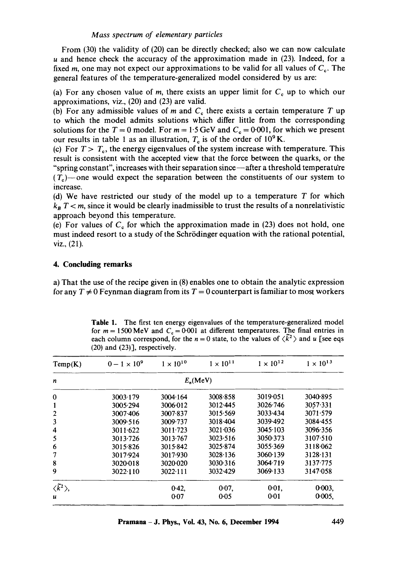## *Mass spectrum of elementary particles*

From (30) the validity of (20) can be directly checked; also we can now calculate u and hence check the accuracy of the approximation made in (23). Indeed, for a fixed m, one may not expect our approximations to be valid for all values of  $C_{\rm c}$ . The general features of the temperature-generalized model considered by us are:

(a) For any chosen value of m, there exists an upper limit for  $C_c$  up to which our approximations, viz., (20) and (23) are valid.

(b) For any admissible values of m and  $C<sub>c</sub>$  there exists a certain temperature T up to which the model admits solutions which differ little from the corresponding solutions for the  $T = 0$  model. For  $m = 1.5$  GeV and  $C_c = 0.001$ , for which we present our results in table 1 as an illustration,  $T<sub>c</sub>$  is of the order of 10<sup>9</sup> K.

(c) For  $T > T_c$ , the energy eigenvalues of the system increase with temperature. This result is consistent with the accepted view that the force between the quarks, or the "spring constant", increases with their separation since--after a threshold temperature  $(T_c)$ —one would expect the separation between the constituents of our system to increase.

(d) We have restricted our study of the model up to a temperature  $T$  for which  $k_B T \le m$ , since it would be clearly inadmissible to trust the results of a nonrelativistic approach beyond this temperature.

(e) For values of  $C<sub>c</sub>$  for which the approximation made in (23) does not hold, one must indeed resort to a study of the Schrödinger equation with the rational potential, viz., (21).

# **4. Concluding remarks**

a) That the use of the recipe given in (8) enables one to obtain the analytic expression for any  $T \neq 0$  Feynman diagram from its  $T = 0$  counterpart is familiar to most workers

| for $m = 1500$ MeV and $Cs = 0.001$ at different temperatures. The final entries in<br>each column correspond, for the $n = 0$ state, to the values of $\langle \tilde{k}^2 \rangle$ and u [see eqs<br>$(20)$ and $(23)$ ], respectively. |                    |                    |                    |                    |  |  |  |  |
|-------------------------------------------------------------------------------------------------------------------------------------------------------------------------------------------------------------------------------------------|--------------------|--------------------|--------------------|--------------------|--|--|--|--|
| $0 - 1 \times 10^{9}$                                                                                                                                                                                                                     | $1 \times 10^{10}$ | $1 \times 10^{11}$ | $1 \times 10^{12}$ | $1 \times 10^{13}$ |  |  |  |  |
|                                                                                                                                                                                                                                           |                    |                    |                    |                    |  |  |  |  |

**Table** 1. The first ten energy eigenvalues of the temperature-generalized model

| Temp(K)                       | $0 - 1 \times 10^{9}$ | $1 \times 10^{10}$ | $1 \times 10^{11}$ | $1 \times 10^{12}$ | $1 \times 10^{13}$ |
|-------------------------------|-----------------------|--------------------|--------------------|--------------------|--------------------|
| n                             |                       | $E_n$ (MeV)        |                    |                    |                    |
| $\bf{0}$                      | 3003 179              | 3004.164           | 3008-858           | 3019051            | 3040.895           |
|                               | 3005.294              | 3006.012           | 3012.445           | 3026.746           | 3057.331           |
| 2                             | 3007.406              | 3007.837           | 3015.569           | 3033.434           | 3071.579           |
| 3                             | 3009.516              | 3009.737           | 3018.404           | 3039.492           | 3084.455           |
| 4                             | 3011.622              | 3011.723           | 3021.036           | 3045.103           | 3096.356           |
| 5                             | 3013.726              | 3013.767           | 3023.516           | 3050.373           | 3107.510           |
| 6                             | 3015-826              | 3015.842           | 3025.874           | 3055.369           | 3118.062           |
|                               | 3017-924              | 3017.930           | 3028.136           | 3060.139           | 3128.131           |
| 8                             | 3020-018              | 3020.020           | 3030.316           | 3064.719           | 3137.775           |
| 9                             | 3022.110              | $3022 \cdot 111$   | 3032-429           | 3069-133           | 3147.058           |
| $\langle \tilde{k}^2 \rangle$ |                       | 0.42,              | 0.07,              | $0.01$ ,           | 0.003,             |
| u                             |                       | 0.07               | 0.05               | 0.01               | $0.005$ ,          |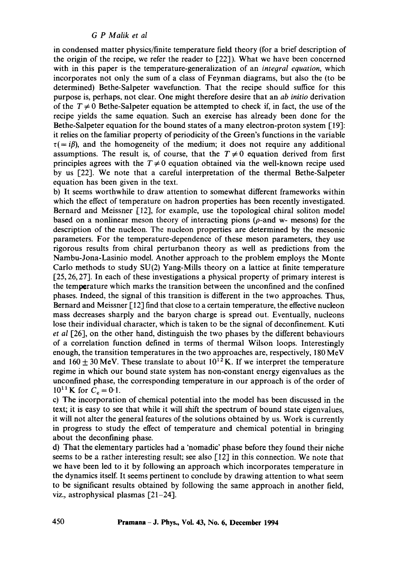in condensed matter physics/finite temperature field theory (for a brief description of the origin of the recipe, we refer the reader to  $[22]$ ). What we have been concerned with in this paper is the temperature-generalization of an *integral equation,* which incorporates not only the sum of a class of Feynman diagrams, but also the (to be determined) Bethe-Salpeter wavefunction. That the recipe should suffice for this purpose is, perhaps, not clear. One might therefore desire that an *ab initio* derivation of the  $T \neq 0$  Bethe-Salpeter equation be attempted to check if, in fact, the use of the recipe yields the same equation. Such an exercise has already been done for the Bethe-Salpeter equation for the bound states of a many electron-proton system [19]: it relies on the familiar property of periodicity of the Green's functions in the variable  $\tau (= i\beta)$ , and the homogeneity of the medium; it does not require any additional assumptions. The result is, of course, that the  $T \neq 0$  equation derived from first principles agrees with the  $T \neq 0$  equation obtained via the well-known recipe used by us 1,22]. We note that a careful interpretation of the thermal Bethe-Salpeter equation has been given in the text.

b) It seems worthwhile to draw attention to somewhat different frameworks within which the effect of temperature on hadron properties has been recently investigated. Bernard and Meissner [12], for example, use the topological chiral soliton model based on a nonlinear meson theory of interacting pions ( $\rho$ -and w- mesons) for the description of the nucleon. The nucleon properties are determined by the mesonic parameters. For the temperature-dependence of these meson parameters, they use rigorous results from chiral perturbanon theory as well as predictions from the Nambu-Jona-Lasinio model. Another approach to the problem employs the Monte Carlo methods to study SU(2) Yang-Mills theory on a lattice at finite temperature  $[25, 26, 27]$ . In each of these investigations a physical property of primary interest is the temperature which marks the transition between the unconfined and the confined phases. Indeed, the signal of this transition is different in the two approaches. Thus, Bernard and Meissner  $[12]$  find that close to a certain temperature, the effective nucleon mass decreases sharply and the baryon charge is spread out. Eventually, nucleons lose their individual character, which is taken to be the signal of deconfinement. Kuti *et al* [26], on the other hand, distinguish the two phases by the different behaviours of a correlation function defined in terms of thermal Wilson loops. Interestingly enough, the transition temperatures in the two approaches are, respectively, 180 MeV and  $160 \pm 30$  MeV. These translate to about  $10^{12}$  K. If we interpret the temperature regime in which our bound state system has non-constant energy eigenvalues as the unconfined phase, the corresponding temperature in our approach is of the order of  $10^{11}$  K for  $C_c = 0.1$ .

c) The incorporation of chemical potential into the model has been discussed in the text; it is easy to see that while it will shift the spectrum of bound state eigenvalues, it will not alter the general features of the solutions obtained by us. Work is currently in progress to study the effect of temperature and chemical potential in bringing about the deconfining phase.

d) That the elementary particles had a 'nomadic' phase before they found their niche seems to be a rather interesting result; see also [12] in this connection. We note that we have been led to it by following an approach which incorporates temperature in the dynamics itself. It seems pertinent to conclude by drawing attention to what seem to be significant results obtained by following the same approach in another field, viz., astrophysical plasmas  $[21-24]$ .